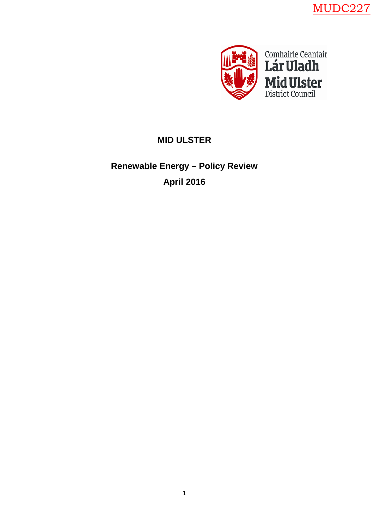MUDC227



# **MID ULSTER**

# **Renewable Energy – Policy Review April 2016**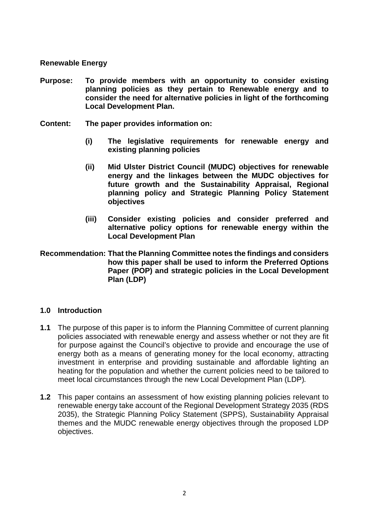#### **Renewable Energy**

- **Purpose: To provide members with an opportunity to consider existing planning policies as they pertain to Renewable energy and to consider the need for alternative policies in light of the forthcoming Local Development Plan.**
- **Content: The paper provides information on:**
	- **(i) The legislative requirements for renewable energy and existing planning policies**
	- **(ii) Mid Ulster District Council (MUDC) objectives for renewable energy and the linkages between the MUDC objectives for future growth and the Sustainability Appraisal, Regional planning policy and Strategic Planning Policy Statement objectives**
	- **(iii) Consider existing policies and consider preferred and alternative policy options for renewable energy within the Local Development Plan**
- **Recommendation: That the Planning Committee notes the findings and considers how this paper shall be used to inform the Preferred Options Paper (POP) and strategic policies in the Local Development Plan (LDP)**

#### **1.0 Introduction**

- **1.1** The purpose of this paper is to inform the Planning Committee of current planning policies associated with renewable energy and assess whether or not they are fit for purpose against the Council's objective to provide and encourage the use of energy both as a means of generating money for the local economy, attracting investment in enterprise and providing sustainable and affordable lighting an heating for the population and whether the current policies need to be tailored to meet local circumstances through the new Local Development Plan (LDP)*.*
- **1.2** This paper contains an assessment of how existing planning policies relevant to renewable energy take account of the Regional Development Strategy 2035 (RDS 2035), the Strategic Planning Policy Statement (SPPS), Sustainability Appraisal themes and the MUDC renewable energy objectives through the proposed LDP objectives.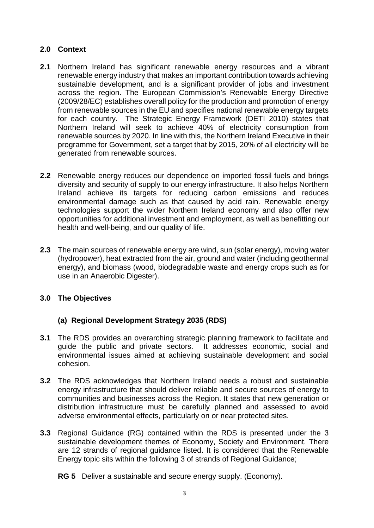# **2.0 Context**

- **2.1** Northern Ireland has significant renewable energy resources and a vibrant renewable energy industry that makes an important contribution towards achieving sustainable development, and is a significant provider of jobs and investment across the region. The European Commission's Renewable Energy Directive (2009/28/EC) establishes overall policy for the production and promotion of energy from renewable sources in the EU and specifies national renewable energy targets for each country. The Strategic Energy Framework (DETI 2010) states that Northern Ireland will seek to achieve 40% of electricity consumption from renewable sources by 2020. In line with this, the Northern Ireland Executive in their programme for Government, set a target that by 2015, 20% of all electricity will be generated from renewable sources.
- **2.2** Renewable energy reduces our dependence on imported fossil fuels and brings diversity and security of supply to our energy infrastructure. It also helps Northern Ireland achieve its targets for reducing carbon emissions and reduces environmental damage such as that caused by acid rain. Renewable energy technologies support the wider Northern Ireland economy and also offer new opportunities for additional investment and employment, as well as benefitting our health and well-being, and our quality of life.
- **2.3** The main sources of renewable energy are wind, sun (solar energy), moving water (hydropower), heat extracted from the air, ground and water (including geothermal energy), and biomass (wood, biodegradable waste and energy crops such as for use in an Anaerobic Digester).

# **3.0 The Objectives**

# **(a) Regional Development Strategy 2035 (RDS)**

- **3.1** The RDS provides an overarching strategic planning framework to facilitate and guide the public and private sectors. It addresses economic, social and environmental issues aimed at achieving sustainable development and social cohesion.
- **3.2** The RDS acknowledges that Northern Ireland needs a robust and sustainable energy infrastructure that should deliver reliable and secure sources of energy to communities and businesses across the Region. It states that new generation or distribution infrastructure must be carefully planned and assessed to avoid adverse environmental effects, particularly on or near protected sites.
- **3.3** Regional Guidance (RG) contained within the RDS is presented under the 3 sustainable development themes of Economy, Society and Environment. There are 12 strands of regional guidance listed. It is considered that the Renewable Energy topic sits within the following 3 of strands of Regional Guidance;

#### **RG 5** Deliver a sustainable and secure energy supply. (Economy).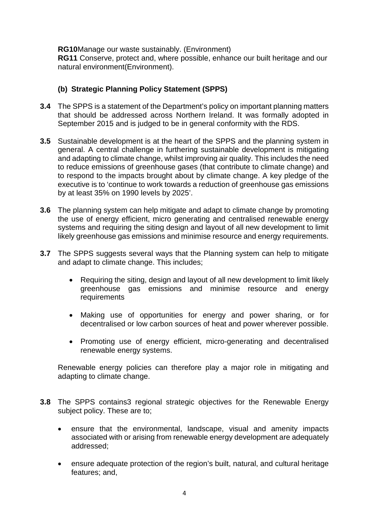**RG10**Manage our waste sustainably. (Environment) **RG11** Conserve, protect and, where possible, enhance our built heritage and our natural environment(Environment).

# **(b) Strategic Planning Policy Statement (SPPS)**

- **3.4** The SPPS is a statement of the Department's policy on important planning matters that should be addressed across Northern Ireland. It was formally adopted in September 2015 and is judged to be in general conformity with the RDS.
- **3.5** Sustainable development is at the heart of the SPPS and the planning system in general. A central challenge in furthering sustainable development is mitigating and adapting to climate change, whilst improving air quality. This includes the need to reduce emissions of greenhouse gases (that contribute to climate change) and to respond to the impacts brought about by climate change. A key pledge of the executive is to 'continue to work towards a reduction of greenhouse gas emissions by at least 35% on 1990 levels by 2025'.
- **3.6** The planning system can help mitigate and adapt to climate change by promoting the use of energy efficient, micro generating and centralised renewable energy systems and requiring the siting design and layout of all new development to limit likely greenhouse gas emissions and minimise resource and energy requirements.
- **3.7** The SPPS suggests several ways that the Planning system can help to mitigate and adapt to climate change. This includes;
	- Requiring the siting, design and layout of all new development to limit likely greenhouse gas emissions and minimise resource and energy requirements
	- Making use of opportunities for energy and power sharing, or for decentralised or low carbon sources of heat and power wherever possible.
	- Promoting use of energy efficient, micro-generating and decentralised renewable energy systems.

Renewable energy policies can therefore play a major role in mitigating and adapting to climate change.

- **3.8** The SPPS contains3 regional strategic objectives for the Renewable Energy subject policy. These are to;
	- ensure that the environmental, landscape, visual and amenity impacts associated with or arising from renewable energy development are adequately addressed;
	- ensure adequate protection of the region's built, natural, and cultural heritage features; and,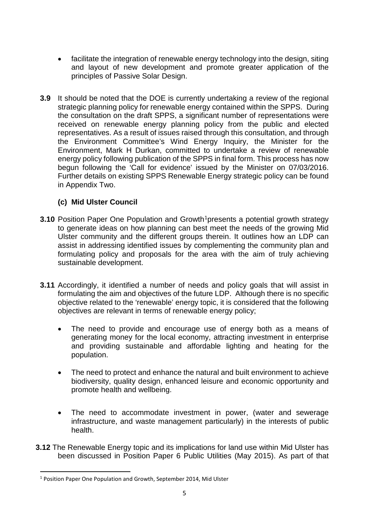- facilitate the integration of renewable energy technology into the design, siting and layout of new development and promote greater application of the principles of Passive Solar Design.
- **3.9** It should be noted that the DOE is currently undertaking a review of the regional strategic planning policy for renewable energy contained within the SPPS. During the consultation on the draft SPPS, a significant number of representations were received on renewable energy planning policy from the public and elected representatives. As a result of issues raised through this consultation, and through the Environment Committee's Wind Energy Inquiry, the Minister for the Environment, Mark H Durkan, committed to undertake a review of renewable energy policy following publication of the SPPS in final form. This process has now begun following the 'Call for evidence' issued by the Minister on 07/03/2016. Further details on existing SPPS Renewable Energy strategic policy can be found in Appendix Two.

# **(c) Mid Ulster Council**

- **3.[1](#page-4-0)0** Position Paper One Population and Growth<sup>1</sup>presents a potential growth strategy to generate ideas on how planning can best meet the needs of the growing Mid Ulster community and the different groups therein. It outlines how an LDP can assist in addressing identified issues by complementing the community plan and formulating policy and proposals for the area with the aim of truly achieving sustainable development.
- **3.11** Accordingly, it identified a number of needs and policy goals that will assist in formulating the aim and objectives of the future LDP. Although there is no specific objective related to the 'renewable' energy topic, it is considered that the following objectives are relevant in terms of renewable energy policy;
	- The need to provide and encourage use of energy both as a means of generating money for the local economy, attracting investment in enterprise and providing sustainable and affordable lighting and heating for the population.
	- The need to protect and enhance the natural and built environment to achieve biodiversity, quality design, enhanced leisure and economic opportunity and promote health and wellbeing.
	- The need to accommodate investment in power, (water and sewerage infrastructure, and waste management particularly) in the interests of public health.
- **3.12** The Renewable Energy topic and its implications for land use within Mid Ulster has been discussed in Position Paper 6 Public Utilities (May 2015). As part of that

<span id="page-4-0"></span><sup>&</sup>lt;sup>1</sup> Position Paper One Population and Growth, September 2014, Mid Ulster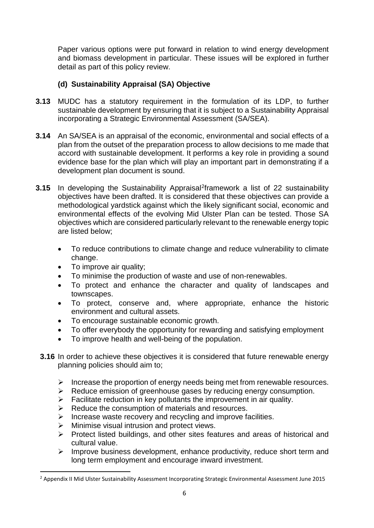Paper various options were put forward in relation to wind energy development and biomass development in particular. These issues will be explored in further detail as part of this policy review.

# **(d) Sustainability Appraisal (SA) Objective**

- **3.13** MUDC has a statutory requirement in the formulation of its LDP, to further sustainable development by ensuring that it is subject to a Sustainability Appraisal incorporating a Strategic Environmental Assessment (SA/SEA).
- **3.14** An SA/SEA is an appraisal of the economic, environmental and social effects of a plan from the outset of the preparation process to allow decisions to me made that accord with sustainable development. It performs a key role in providing a sound evidence base for the plan which will play an important part in demonstrating if a development plan document is sound.
- **3.15** In developing the Sustainability Appraisal<sup>[2](#page-5-0)</sup>framework a list of 22 sustainability objectives have been drafted. It is considered that these objectives can provide a methodological yardstick against which the likely significant social, economic and environmental effects of the evolving Mid Ulster Plan can be tested. Those SA objectives which are considered particularly relevant to the renewable energy topic are listed below;
	- To reduce contributions to climate change and reduce vulnerability to climate change.
	- To improve air quality;
	- To minimise the production of waste and use of non-renewables.
	- To protect and enhance the character and quality of landscapes and townscapes.
	- To protect, conserve and, where appropriate, enhance the historic environment and cultural assets.
	- To encourage sustainable economic growth.
	- To offer everybody the opportunity for rewarding and satisfying employment
	- To improve health and well-being of the population.
	- **3.16** In order to achieve these objectives it is considered that future renewable energy planning policies should aim to;
		- $\triangleright$  Increase the proportion of energy needs being met from renewable resources.
		- $\triangleright$  Reduce emission of greenhouse gases by reducing energy consumption.
		- $\triangleright$  Facilitate reduction in key pollutants the improvement in air quality.
		- $\triangleright$  Reduce the consumption of materials and resources.
		- $\triangleright$  Increase waste recovery and recycling and improve facilities.
		- Minimise visual intrusion and protect views.
		- $\triangleright$  Protect listed buildings, and other sites features and areas of historical and cultural value.
		- $\triangleright$  Improve business development, enhance productivity, reduce short term and long term employment and encourage inward investment.

<span id="page-5-0"></span><sup>&</sup>lt;sup>2</sup> Appendix II Mid Ulster Sustainability Assessment Incorporating Strategic Environmental Assessment June 2015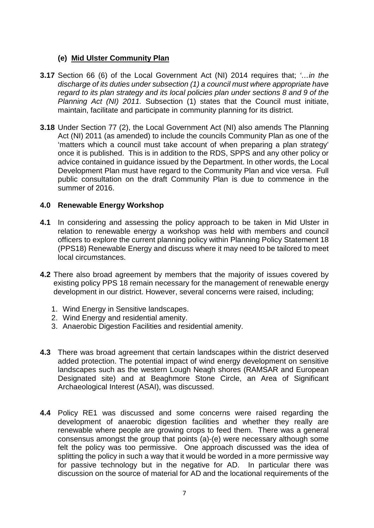# **(e) Mid Ulster Community Plan**

- **3.17** Section 66 (6) of the Local Government Act (NI) 2014 requires that; *'…in the discharge of its duties under subsection (1) a council must where appropriate have regard to its plan strategy and its local policies plan under sections 8 and 9 of the Planning Act (NI) 2011.* Subsection (1) states that the Council must initiate, maintain, facilitate and participate in community planning for its district.
- **3.18** Under Section 77 (2), the Local Government Act (NI) also amends The Planning Act (NI) 2011 (as amended) to include the councils Community Plan as one of the 'matters which a council must take account of when preparing a plan strategy' once it is published. This is in addition to the RDS, SPPS and any other policy or advice contained in guidance issued by the Department. In other words, the Local Development Plan must have regard to the Community Plan and vice versa. Full public consultation on the draft Community Plan is due to commence in the summer of 2016.

#### **4.0 Renewable Energy Workshop**

- **4.1** In considering and assessing the policy approach to be taken in Mid Ulster in relation to renewable energy a workshop was held with members and council officers to explore the current planning policy within Planning Policy Statement 18 (PPS18) Renewable Energy and discuss where it may need to be tailored to meet local circumstances.
- **4.2** There also broad agreement by members that the majority of issues covered by existing policy PPS 18 remain necessary for the management of renewable energy development in our district. However, several concerns were raised, including;
	- 1. Wind Energy in Sensitive landscapes.
	- 2. Wind Energy and residential amenity.
	- 3. Anaerobic Digestion Facilities and residential amenity.
- **4.3** There was broad agreement that certain landscapes within the district deserved added protection. The potential impact of wind energy development on sensitive landscapes such as the western Lough Neagh shores (RAMSAR and European Designated site) and at Beaghmore Stone Circle, an Area of Significant Archaeological Interest (ASAI), was discussed.
- **4.4** Policy RE1 was discussed and some concerns were raised regarding the development of anaerobic digestion facilities and whether they really are renewable where people are growing crops to feed them. There was a general consensus amongst the group that points (a)-(e) were necessary although some felt the policy was too permissive. One approach discussed was the idea of splitting the policy in such a way that it would be worded in a more permissive way for passive technology but in the negative for AD. In particular there was discussion on the source of material for AD and the locational requirements of the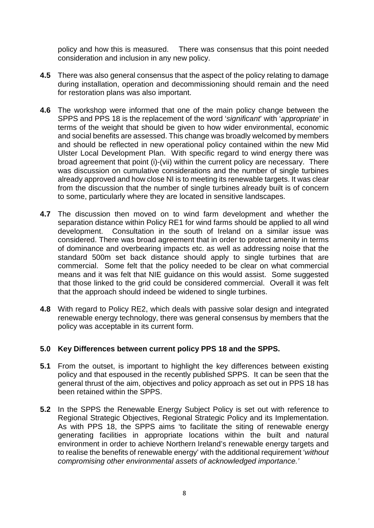policy and how this is measured. There was consensus that this point needed consideration and inclusion in any new policy.

- **4.5** There was also general consensus that the aspect of the policy relating to damage during installation, operation and decommissioning should remain and the need for restoration plans was also important.
- **4.6** The workshop were informed that one of the main policy change between the SPPS and PPS 18 is the replacement of the word '*significant*' with '*appropriate*' in terms of the weight that should be given to how wider environmental, economic and social benefits are assessed. This change was broadly welcomed by members and should be reflected in new operational policy contained within the new Mid Ulster Local Development Plan. With specific regard to wind energy there was broad agreement that point (i)-(vii) within the current policy are necessary. There was discussion on cumulative considerations and the number of single turbines already approved and how close NI is to meeting its renewable targets. It was clear from the discussion that the number of single turbines already built is of concern to some, particularly where they are located in sensitive landscapes.
- **4.7** The discussion then moved on to wind farm development and whether the separation distance within Policy RE1 for wind farms should be applied to all wind development. Consultation in the south of Ireland on a similar issue was considered. There was broad agreement that in order to protect amenity in terms of dominance and overbearing impacts etc. as well as addressing noise that the standard 500m set back distance should apply to single turbines that are commercial. Some felt that the policy needed to be clear on what commercial means and it was felt that NIE guidance on this would assist. Some suggested that those linked to the grid could be considered commercial. Overall it was felt that the approach should indeed be widened to single turbines.
- **4.8** With regard to Policy RE2, which deals with passive solar design and integrated renewable energy technology, there was general consensus by members that the policy was acceptable in its current form.

#### **5.0 Key Differences between current policy PPS 18 and the SPPS.**

- **5.1** From the outset, is important to highlight the key differences between existing policy and that espoused in the recently published SPPS. It can be seen that the general thrust of the aim, objectives and policy approach as set out in PPS 18 has been retained within the SPPS.
- **5.2** In the SPPS the Renewable Energy Subject Policy is set out with reference to Regional Strategic Objectives, Regional Strategic Policy and its Implementation. As with PPS 18, the SPPS aims 'to facilitate the siting of renewable energy generating facilities in appropriate locations within the built and natural environment in order to achieve Northern Ireland's renewable energy targets and to realise the benefits of renewable energy' with the additional requirement '*without compromising other environmental assets of acknowledged importance.'*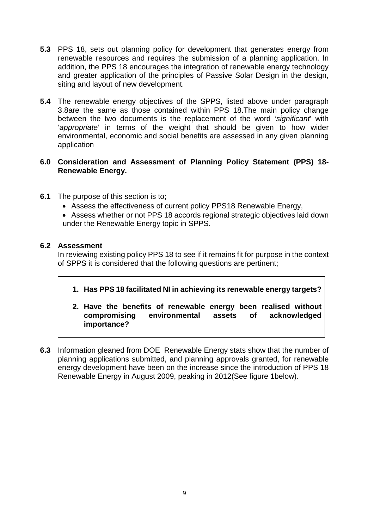- **5.3** PPS 18, sets out planning policy for development that generates energy from renewable resources and requires the submission of a planning application. In addition, the PPS 18 encourages the integration of renewable energy technology and greater application of the principles of Passive Solar Design in the design, siting and layout of new development.
- **5.4** The renewable energy objectives of the SPPS, listed above under paragraph 3.8are the same as those contained within PPS 18.The main policy change between the two documents is the replacement of the word '*significant*' with '*appropriate*' in terms of the weight that should be given to how wider environmental, economic and social benefits are assessed in any given planning application

# **6.0 Consideration and Assessment of Planning Policy Statement (PPS) 18- Renewable Energy.**

- **6.1** The purpose of this section is to;
	- Assess the effectiveness of current policy PPS18 Renewable Energy,
	- Assess whether or not PPS 18 accords regional strategic objectives laid down under the Renewable Energy topic in SPPS.

# **6.2 Assessment**

In reviewing existing policy PPS 18 to see if it remains fit for purpose in the context of SPPS it is considered that the following questions are pertinent;

**1. Has PPS 18 facilitated NI in achieving its renewable energy targets?**

# **2. Have the benefits of renewable energy been realised without compromising environmental assets of importance?**

**6.3** Information gleaned from DOE Renewable Energy stats show that the number of planning applications submitted, and planning approvals granted, for renewable energy development have been on the increase since the introduction of PPS 18 Renewable Energy in August 2009, peaking in 2012(See figure 1below).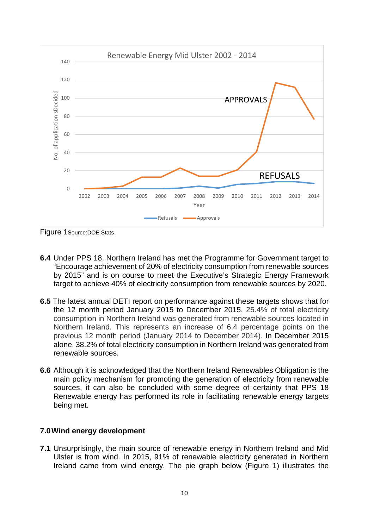

Figure 1Source:DOE Stats

- **6.4** Under PPS 18, Northern Ireland has met the Programme for Government target to "Encourage achievement of 20% of electricity consumption from renewable sources by 2015" and is on course to meet the Executive's Strategic Energy Framework target to achieve 40% of electricity consumption from renewable sources by 2020.
- **6.5** The latest annual DETI report on performance against these targets shows that for the 12 month period January 2015 to December 2015, 25.4% of total electricity consumption in Northern Ireland was generated from renewable sources located in Northern Ireland. This represents an increase of 6.4 percentage points on the previous 12 month period (January 2014 to December 2014). In December 2015 alone, 38.2% of total electricity consumption in Northern Ireland was generated from renewable sources.
- **6.6** Although it is acknowledged that the Northern Ireland Renewables Obligation is the main policy mechanism for promoting the generation of electricity from renewable sources, it can also be concluded with some degree of certainty that PPS 18 Renewable energy has performed its role in facilitating renewable energy targets being met.

# **7.0Wind energy development**

**7.1** Unsurprisingly, the main source of renewable energy in Northern Ireland and Mid Ulster is from wind. In 2015, 91% of renewable electricity generated in Northern Ireland came from wind energy. The pie graph below (Figure 1) illustrates the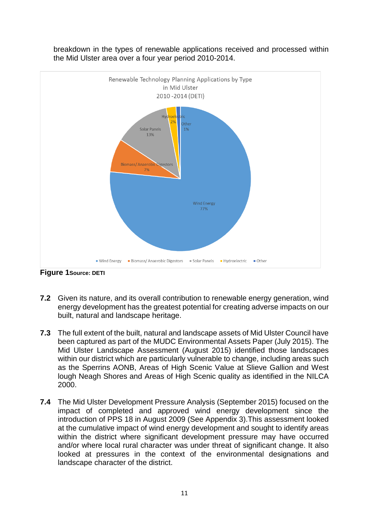

breakdown in the types of renewable applications received and processed within the Mid Ulster area over a four year period 2010-2014.

**Figure 1Source: DETI**

- **7.2** Given its nature, and its overall contribution to renewable energy generation, wind energy development has the greatest potential for creating adverse impacts on our built, natural and landscape heritage.
- **7.3** The full extent of the built, natural and landscape assets of Mid Ulster Council have been captured as part of the MUDC Environmental Assets Paper (July 2015). The Mid Ulster Landscape Assessment (August 2015) identified those landscapes within our district which are particularly vulnerable to change, including areas such as the Sperrins AONB, Areas of High Scenic Value at Slieve Gallion and West lough Neagh Shores and Areas of High Scenic quality as identified in the NILCA 2000.
- **7.4** The Mid Ulster Development Pressure Analysis (September 2015) focused on the impact of completed and approved wind energy development since the introduction of PPS 18 in August 2009 (See Appendix 3).This assessment looked at the cumulative impact of wind energy development and sought to identify areas within the district where significant development pressure may have occurred and/or where local rural character was under threat of significant change. It also looked at pressures in the context of the environmental designations and landscape character of the district.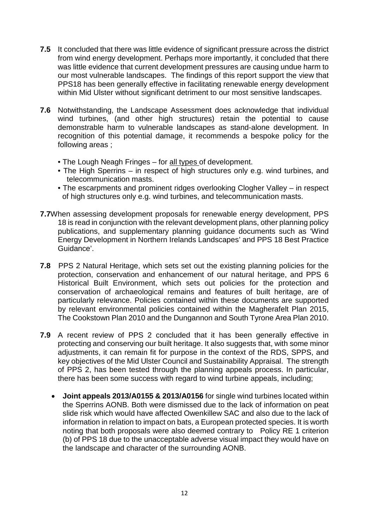- **7.5** It concluded that there was little evidence of significant pressure across the district from wind energy development. Perhaps more importantly, it concluded that there was little evidence that current development pressures are causing undue harm to our most vulnerable landscapes. The findings of this report support the view that PPS18 has been generally effective in facilitating renewable energy development within Mid Ulster without significant detriment to our most sensitive landscapes.
- **7.6** Notwithstanding, the Landscape Assessment does acknowledge that individual wind turbines, (and other high structures) retain the potential to cause demonstrable harm to vulnerable landscapes as stand-alone development. In recognition of this potential damage, it recommends a bespoke policy for the following areas ;
	- The Lough Neagh Fringes for all types of development.
	- The High Sperrins in respect of high structures only e.g. wind turbines, and telecommunication masts.
	- The escarpments and prominent ridges overlooking Clogher Valley in respect of high structures only e.g. wind turbines, and telecommunication masts.
- **7.7**When assessing development proposals for renewable energy development, PPS 18 is read in conjunction with the relevant development plans, other planning policy publications, and supplementary planning guidance documents such as 'Wind Energy Development in Northern Irelands Landscapes' and PPS 18 Best Practice Guidance'.
- **7.8** PPS 2 Natural Heritage, which sets set out the existing planning policies for the protection, conservation and enhancement of our natural heritage, and PPS 6 Historical Built Environment, which sets out policies for the protection and conservation of archaeological remains and features of built heritage, are of particularly relevance. Policies contained within these documents are supported by relevant environmental policies contained within the Magherafelt Plan 2015, The Cookstown Plan 2010 and the Dungannon and South Tyrone Area Plan 2010.
- **7.9** A recent review of PPS 2 concluded that it has been generally effective in protecting and conserving our built heritage. It also suggests that, with some minor adjustments, it can remain fit for purpose in the context of the RDS, SPPS, and key objectives of the Mid Ulster Council and Sustainability Appraisal. The strength of PPS 2, has been tested through the planning appeals process. In particular, there has been some success with regard to wind turbine appeals, including;
	- **Joint appeals 2013/A0155 & 2013/A0156** for single wind turbines located within the Sperrins AONB. Both were dismissed due to the lack of information on peat slide risk which would have affected Owenkillew SAC and also due to the lack of information in relation to impact on bats, a European protected species. It is worth noting that both proposals were also deemed contrary to Policy RE 1 criterion (b) of PPS 18 due to the unacceptable adverse visual impact they would have on the landscape and character of the surrounding AONB.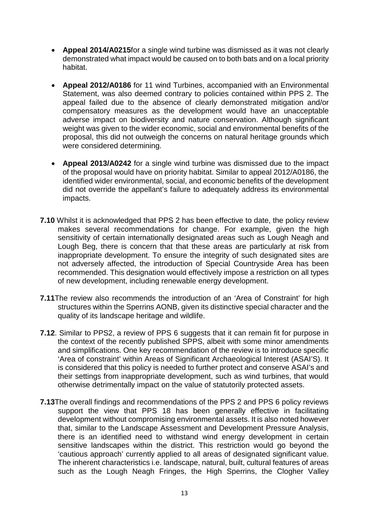- **Appeal 2014/A0215**for a single wind turbine was dismissed as it was not clearly demonstrated what impact would be caused on to both bats and on a local priority habitat.
- **Appeal 2012/A0186** for 11 wind Turbines, accompanied with an Environmental Statement, was also deemed contrary to policies contained within PPS 2. The appeal failed due to the absence of clearly demonstrated mitigation and/or compensatory measures as the development would have an unacceptable adverse impact on biodiversity and nature conservation. Although significant weight was given to the wider economic, social and environmental benefits of the proposal, this did not outweigh the concerns on natural heritage grounds which were considered determining.
- **Appeal 2013/A0242** for a single wind turbine was dismissed due to the impact of the proposal would have on priority habitat. Similar to appeal 2012/A0186, the identified wider environmental, social, and economic benefits of the development did not override the appellant's failure to adequately address its environmental impacts.
- **7.10** Whilst it is acknowledged that PPS 2 has been effective to date, the policy review makes several recommendations for change. For example, given the high sensitivity of certain internationally designated areas such as Lough Neagh and Lough Beg, there is concern that that these areas are particularly at risk from inappropriate development. To ensure the integrity of such designated sites are not adversely affected, the introduction of Special Countryside Area has been recommended. This designation would effectively impose a restriction on all types of new development, including renewable energy development.
- **7.11**The review also recommends the introduction of an 'Area of Constraint' for high structures within the Sperrins AONB, given its distinctive special character and the quality of its landscape heritage and wildlife.
- **7.12**. Similar to PPS2, a review of PPS 6 suggests that it can remain fit for purpose in the context of the recently published SPPS, albeit with some minor amendments and simplifications. One key recommendation of the review is to introduce specific 'Area of constraint' within Areas of Significant Archaeological Interest (ASAI'S). It is considered that this policy is needed to further protect and conserve ASAI's and their settings from inappropriate development, such as wind turbines, that would otherwise detrimentally impact on the value of statutorily protected assets.
- **7.13**The overall findings and recommendations of the PPS 2 and PPS 6 policy reviews support the view that PPS 18 has been generally effective in facilitating development without compromising environmental assets. It is also noted however that, similar to the Landscape Assessment and Development Pressure Analysis, there is an identified need to withstand wind energy development in certain sensitive landscapes within the district. This restriction would go beyond the 'cautious approach' currently applied to all areas of designated significant value. The inherent characteristics i.e. landscape, natural, built, cultural features of areas such as the Lough Neagh Fringes, the High Sperrins, the Clogher Valley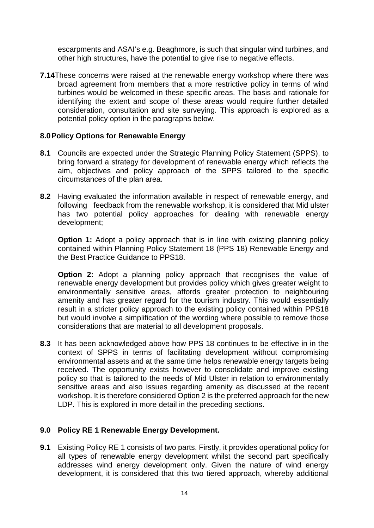escarpments and ASAI's e.g. Beaghmore, is such that singular wind turbines, and other high structures, have the potential to give rise to negative effects.

**7.14**These concerns were raised at the renewable energy workshop where there was broad agreement from members that a more restrictive policy in terms of wind turbines would be welcomed in these specific areas. The basis and rationale for identifying the extent and scope of these areas would require further detailed consideration, consultation and site surveying. This approach is explored as a potential policy option in the paragraphs below.

#### **8.0Policy Options for Renewable Energy**

- **8.1** Councils are expected under the Strategic Planning Policy Statement (SPPS), to bring forward a strategy for development of renewable energy which reflects the aim, objectives and policy approach of the SPPS tailored to the specific circumstances of the plan area.
- **8.2** Having evaluated the information available in respect of renewable energy, and following feedback from the renewable workshop, it is considered that Mid ulster has two potential policy approaches for dealing with renewable energy development;

**Option 1:** Adopt a policy approach that is in line with existing planning policy contained within Planning Policy Statement 18 (PPS 18) Renewable Energy and the Best Practice Guidance to PPS18.

**Option 2:** Adopt a planning policy approach that recognises the value of renewable energy development but provides policy which gives greater weight to environmentally sensitive areas, affords greater protection to neighbouring amenity and has greater regard for the tourism industry. This would essentially result in a stricter policy approach to the existing policy contained within PPS18 but would involve a simplification of the wording where possible to remove those considerations that are material to all development proposals.

**8.3** It has been acknowledged above how PPS 18 continues to be effective in in the context of SPPS in terms of facilitating development without compromising environmental assets and at the same time helps renewable energy targets being received. The opportunity exists however to consolidate and improve existing policy so that is tailored to the needs of Mid Ulster in relation to environmentally sensitive areas and also issues regarding amenity as discussed at the recent workshop. It is therefore considered Option 2 is the preferred approach for the new LDP. This is explored in more detail in the preceding sections.

#### **9.0 Policy RE 1 Renewable Energy Development.**

**9.1** Existing Policy RE 1 consists of two parts. Firstly, it provides operational policy for all types of renewable energy development whilst the second part specifically addresses wind energy development only. Given the nature of wind energy development, it is considered that this two tiered approach, whereby additional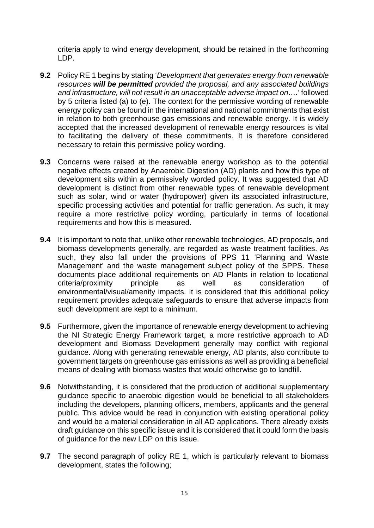criteria apply to wind energy development, should be retained in the forthcoming LDP.

- **9.2** Policy RE 1 begins by stating '*Development that generates energy from renewable resources will be permitted provided the proposal, and any associated buildings and infrastructure, will not result in an unacceptable adverse impact on….*' followed by 5 criteria listed (a) to (e). The context for the permissive wording of renewable energy policy can be found in the international and national commitments that exist in relation to both greenhouse gas emissions and renewable energy. It is widely accepted that the increased development of renewable energy resources is vital to facilitating the delivery of these commitments. It is therefore considered necessary to retain this permissive policy wording.
- **9.3** Concerns were raised at the renewable energy workshop as to the potential negative effects created by Anaerobic Digestion (AD) plants and how this type of development sits within a permissively worded policy. It was suggested that AD development is distinct from other renewable types of renewable development such as solar, wind or water (hydropower) given its associated infrastructure, specific processing activities and potential for traffic generation. As such, it may require a more restrictive policy wording, particularly in terms of locational requirements and how this is measured.
- **9.4** It is important to note that, unlike other renewable technologies, AD proposals, and biomass developments generally, are regarded as waste treatment facilities. As such, they also fall under the provisions of PPS 11 'Planning and Waste Management' and the waste management subject policy of the SPPS. These documents place additional requirements on AD Plants in relation to locational<br>criteria/proximity principle as well as consideration of criteria/proximity principle as well as consideration of environmental/visual/amenity impacts. It is considered that this additional policy requirement provides adequate safeguards to ensure that adverse impacts from such development are kept to a minimum.
- **9.5** Furthermore, given the importance of renewable energy development to achieving the NI Strategic Energy Framework target, a more restrictive approach to AD development and Biomass Development generally may conflict with regional guidance. Along with generating renewable energy, AD plants, also contribute to government targets on greenhouse gas emissions as well as providing a beneficial means of dealing with biomass wastes that would otherwise go to landfill.
- **9.6** Notwithstanding, it is considered that the production of additional supplementary guidance specific to anaerobic digestion would be beneficial to all stakeholders including the developers, planning officers, members, applicants and the general public. This advice would be read in conjunction with existing operational policy and would be a material consideration in all AD applications. There already exists draft guidance on this specific issue and it is considered that it could form the basis of guidance for the new LDP on this issue.
- **9.7** The second paragraph of policy RE 1, which is particularly relevant to biomass development, states the following;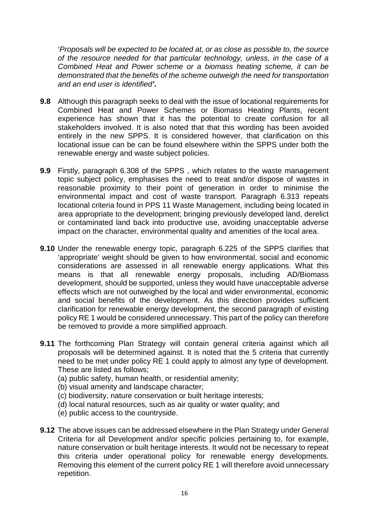'*Proposals will be expected to be located at, or as close as possible to, the source of the resource needed for that particular technology, unless, in the case of a Combined Heat and Power scheme or a biomass heating scheme, it can be demonstrated that the benefits of the scheme outweigh the need for transportation and an end user is identified'***.**

- **9.8** Although this paragraph seeks to deal with the issue of locational requirements for Combined Heat and Power Schemes or Biomass Heating Plants, recent experience has shown that it has the potential to create confusion for all stakeholders involved. It is also noted that that this wording has been avoided entirely in the new SPPS. It is considered however, that clarification on this locational issue can be can be found elsewhere within the SPPS under both the renewable energy and waste subject policies.
- **9.9** Firstly, paragraph 6.308 of the SPPS , which relates to the waste management topic subject policy, emphasises the need to treat and/or dispose of wastes in reasonable proximity to their point of generation in order to minimise the environmental impact and cost of waste transport. Paragraph 6.313 repeats locational criteria found in PPS 11 Waste Management, including being located in area appropriate to the development; bringing previously developed land, derelict or contaminated land back into productive use, avoiding unacceptable adverse impact on the character, environmental quality and amenities of the local area.
- **9.10** Under the renewable energy topic, paragraph 6.225 of the SPPS clarifies that 'appropriate' weight should be given to how environmental, social and economic considerations are assessed in all renewable energy applications. What this means is that all renewable energy proposals, including AD/Biomass development, should be supported, unless they would have unacceptable adverse effects which are not outweighed by the local and wider environmental, economic and social benefits of the development. As this direction provides sufficient clarification for renewable energy development, the second paragraph of existing policy RE 1 would be considered unnecessary. This part of the policy can therefore be removed to provide a more simplified approach.
- **9.11** The forthcoming Plan Strategy will contain general criteria against which all proposals will be determined against. It is noted that the 5 criteria that currently need to be met under policy RE 1 could apply to almost any type of development. These are listed as follows;
	- (a) public safety, human health, or residential amenity;
	- (b) visual amenity and landscape character;
	- (c) biodiversity, nature conservation or built heritage interests;
	- (d) local natural resources, such as air quality or water quality; and
	- (e) public access to the countryside.
- **9.12** The above issues can be addressed elsewhere in the Plan Strategy under General Criteria for all Development and/or specific policies pertaining to, for example, nature conservation or built heritage interests. It would not be necessary to repeat this criteria under operational policy for renewable energy developments. Removing this element of the current policy RE 1 will therefore avoid unnecessary repetition.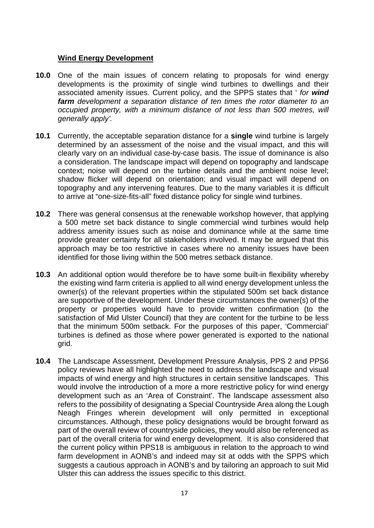#### **Wind Energy Development**

- **10.0** One of the main issues of concern relating to proposals for wind energy developments is the proximity of single wind turbines to dwellings and their associated amenity issues. Current policy, and the SPPS states that ' *for wind farm development a separation distance of ten times the rotor diameter to an occupied property, with a minimum distance of not less than 500 metres, will generally apply'.*
- **10.1** Currently, the acceptable separation distance for a **single** wind turbine is largely determined by an assessment of the noise and the visual impact, and this will clearly vary on an individual case-by-case basis. The issue of dominance is also a consideration. The landscape impact will depend on topography and landscape context; noise will depend on the turbine details and the ambient noise level; shadow flicker will depend on orientation; and visual impact will depend on topography and any intervening features. Due to the many variables it is difficult to arrive at "one-size-fits-all" fixed distance policy for single wind turbines.
- **10.2** There was general consensus at the renewable workshop however, that applying a 500 metre set back distance to single commercial wind turbines would help address amenity issues such as noise and dominance while at the same time provide greater certainty for all stakeholders involved. It may be argued that this approach may be too restrictive in cases where no amenity issues have been identified for those living within the 500 metres setback distance.
- **10.3** An additional option would therefore be to have some built-in flexibility whereby the existing wind farm criteria is applied to all wind energy development unless the owner(s) of the relevant properties within the stipulated 500m set back distance are supportive of the development. Under these circumstances the owner(s) of the property or properties would have to provide written confirmation (to the satisfaction of Mid Ulster Council) that they are content for the turbine to be less that the minimum 500m setback. For the purposes of this paper, 'Commercial' turbines is defined as those where power generated is exported to the national grid.
- **10.4** The Landscape Assessment, Development Pressure Analysis, PPS 2 and PPS6 policy reviews have all highlighted the need to address the landscape and visual impacts of wind energy and high structures in certain sensitive landscapes. This would involve the introduction of a more a more restrictive policy for wind energy development such as an 'Area of Constraint'. The landscape assessment also refers to the possibility of designating a Special Countryside Area along the Lough Neagh Fringes wherein development will only permitted in exceptional circumstances. Although, these policy designations would be brought forward as part of the overall review of countryside policies, they would also be referenced as part of the overall criteria for wind energy development. It is also considered that the current policy within PPS18 is ambiguous in relation to the approach to wind farm development in AONB's and indeed may sit at odds with the SPPS which suggests a cautious approach in AONB's and by tailoring an approach to suit Mid Ulster this can address the issues specific to this district.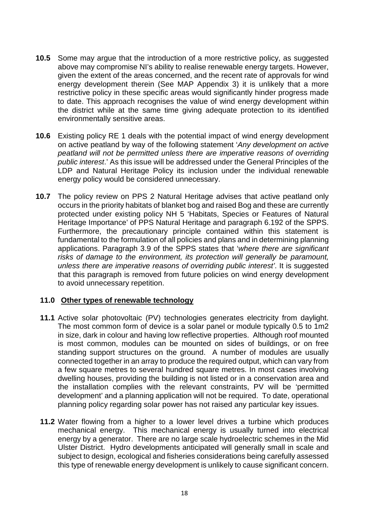- **10.5** Some may argue that the introduction of a more restrictive policy, as suggested above may compromise NI's ability to realise renewable energy targets. However, given the extent of the areas concerned, and the recent rate of approvals for wind energy development therein (See MAP Appendix 3) it is unlikely that a more restrictive policy in these specific areas would significantly hinder progress made to date. This approach recognises the value of wind energy development within the district while at the same time giving adequate protection to its identified environmentally sensitive areas.
- **10.6** Existing policy RE 1 deals with the potential impact of wind energy development on active peatland by way of the following statement '*Any development on active peatland will not be permitted unless there are imperative reasons of overriding public interest*.' As this issue will be addressed under the General Principles of the LDP and Natural Heritage Policy its inclusion under the individual renewable energy policy would be considered unnecessary.
- **10.7** The policy review on PPS 2 Natural Heritage advises that active peatland only occurs in the priority habitats of blanket bog and raised Bog and these are currently protected under existing policy NH 5 'Habitats, Species or Features of Natural Heritage Importance' of PPS Natural Heritage and paragraph 6.192 of the SPPS. Furthermore, the precautionary principle contained within this statement is fundamental to the formulation of all policies and plans and in determining planning applications. Paragraph 3.9 of the SPPS states that '*where there are significant risks of damage to the environment, its protection will generally be paramount, unless there are imperative reasons of overriding public interest'*. It is suggested that this paragraph is removed from future policies on wind energy development to avoid unnecessary repetition.

#### **11.0 Other types of renewable technology**

- **11.1** Active solar photovoltaic (PV) technologies generates electricity from daylight. The most common form of device is a solar panel or module typically 0.5 to 1m2 in size, dark in colour and having low reflective properties. Although roof mounted is most common, modules can be mounted on sides of buildings, or on free standing support structures on the ground. A number of modules are usually connected together in an array to produce the required output, which can vary from a few square metres to several hundred square metres. In most cases involving dwelling houses, providing the building is not listed or in a conservation area and the installation complies with the relevant constraints, PV will be 'permitted development' and a planning application will not be required. To date, operational planning policy regarding solar power has not raised any particular key issues.
- **11.2** Water flowing from a higher to a lower level drives a turbine which produces mechanical energy. This mechanical energy is usually turned into electrical energy by a generator. There are no large scale hydroelectric schemes in the Mid Ulster District. Hydro developments anticipated will generally small in scale and subject to design, ecological and fisheries considerations being carefully assessed this type of renewable energy development is unlikely to cause significant concern.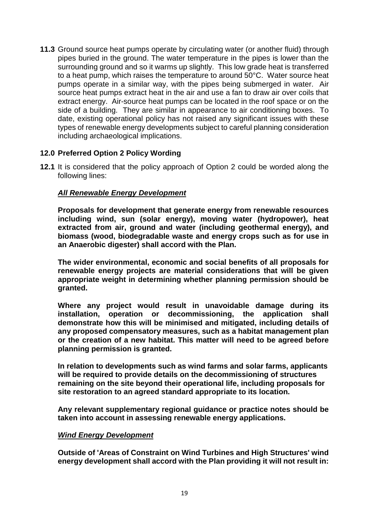**11.3** Ground source heat pumps operate by circulating water (or another fluid) through pipes buried in the ground. The water temperature in the pipes is lower than the surrounding ground and so it warms up slightly. This low grade heat is transferred to a heat pump, which raises the temperature to around 50°C. Water source heat pumps operate in a similar way, with the pipes being submerged in water. Air source heat pumps extract heat in the air and use a fan to draw air over coils that extract energy. Air-source heat pumps can be located in the roof space or on the side of a building. They are similar in appearance to air conditioning boxes. To date, existing operational policy has not raised any significant issues with these types of renewable energy developments subject to careful planning consideration including archaeological implications.

# **12.0 Preferred Option 2 Policy Wording**

**12.1** It is considered that the policy approach of Option 2 could be worded along the following lines:

# *All Renewable Energy Development*

**Proposals for development that generate energy from renewable resources including wind, sun (solar energy), moving water (hydropower), heat extracted from air, ground and water (including geothermal energy), and biomass (wood, biodegradable waste and energy crops such as for use in an Anaerobic digester) shall accord with the Plan.**

**The wider environmental, economic and social benefits of all proposals for renewable energy projects are material considerations that will be given appropriate weight in determining whether planning permission should be granted.**

**Where any project would result in unavoidable damage during its installation, operation or decommissioning, the application shall demonstrate how this will be minimised and mitigated, including details of any proposed compensatory measures, such as a habitat management plan or the creation of a new habitat. This matter will need to be agreed before planning permission is granted.** 

**In relation to developments such as wind farms and solar farms, applicants will be required to provide details on the decommissioning of structures remaining on the site beyond their operational life, including proposals for site restoration to an agreed standard appropriate to its location.**

**Any relevant supplementary regional guidance or practice notes should be taken into account in assessing renewable energy applications.**

#### *Wind Energy Development*

**Outside of 'Areas of Constraint on Wind Turbines and High Structures' wind energy development shall accord with the Plan providing it will not result in:**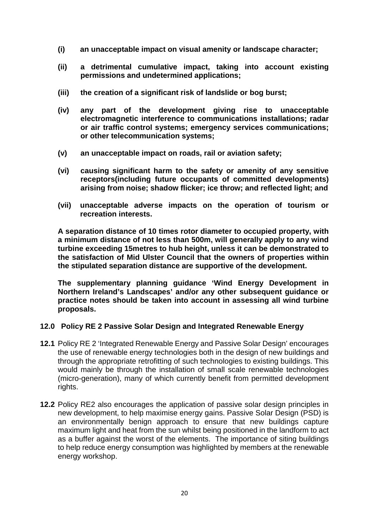- **(i) an unacceptable impact on visual amenity or landscape character;**
- **(ii) a detrimental cumulative impact, taking into account existing permissions and undetermined applications;**
- **(iii) the creation of a significant risk of landslide or bog burst;**
- **(iv) any part of the development giving rise to unacceptable electromagnetic interference to communications installations; radar or air traffic control systems; emergency services communications; or other telecommunication systems;**
- **(v) an unacceptable impact on roads, rail or aviation safety;**
- **(vi) causing significant harm to the safety or amenity of any sensitive receptors(including future occupants of committed developments) arising from noise; shadow flicker; ice throw; and reflected light; and**
- **(vii) unacceptable adverse impacts on the operation of tourism or recreation interests.**

**A separation distance of 10 times rotor diameter to occupied property, with a minimum distance of not less than 500m, will generally apply to any wind turbine exceeding 15metres to hub height, unless it can be demonstrated to the satisfaction of Mid Ulster Council that the owners of properties within the stipulated separation distance are supportive of the development.**

**The supplementary planning guidance 'Wind Energy Development in Northern Ireland's Landscapes' and/or any other subsequent guidance or practice notes should be taken into account in assessing all wind turbine proposals.**

# **12.0 Policy RE 2 Passive Solar Design and Integrated Renewable Energy**

- **12.1** Policy RE 2 'Integrated Renewable Energy and Passive Solar Design' encourages the use of renewable energy technologies both in the design of new buildings and through the appropriate retrofitting of such technologies to existing buildings. This would mainly be through the installation of small scale renewable technologies (micro-generation), many of which currently benefit from permitted development rights.
- **12.2** Policy RE2 also encourages the application of passive solar design principles in new development, to help maximise energy gains. Passive Solar Design (PSD) is an environmentally benign approach to ensure that new buildings capture maximum light and heat from the sun whilst being positioned in the landform to act as a buffer against the worst of the elements. The importance of siting buildings to help reduce energy consumption was highlighted by members at the renewable energy workshop.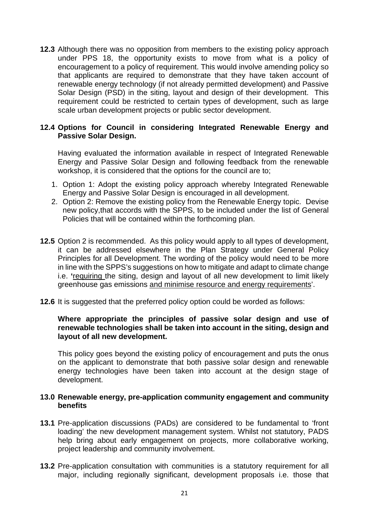**12.3** Although there was no opposition from members to the existing policy approach under PPS 18, the opportunity exists to move from what is a policy of encouragement to a policy of requirement. This would involve amending policy so that applicants are required to demonstrate that they have taken account of renewable energy technology (if not already permitted development) and Passive Solar Design (PSD) in the siting, layout and design of their development. This requirement could be restricted to certain types of development, such as large scale urban development projects or public sector development.

#### **12.4 Options for Council in considering Integrated Renewable Energy and Passive Solar Design.**

Having evaluated the information available in respect of Integrated Renewable Energy and Passive Solar Design and following feedback from the renewable workshop, it is considered that the options for the council are to;

- 1. Option 1: Adopt the existing policy approach whereby Integrated Renewable Energy and Passive Solar Design is encouraged in all development.
- 2. Option 2: Remove the existing policy from the Renewable Energy topic. Devise new policy,that accords with the SPPS, to be included under the list of General Policies that will be contained within the forthcoming plan.
- **12.5** Option 2 is recommended. As this policy would apply to all types of development, it can be addressed elsewhere in the Plan Strategy under General Policy Principles for all Development. The wording of the policy would need to be more in line with the SPPS's suggestions on how to mitigate and adapt to climate change i.e. **'**requiring the siting, design and layout of all new development to limit likely greenhouse gas emissions and minimise resource and energy requirements'.
- **12.6** It is suggested that the preferred policy option could be worded as follows:

#### **Where appropriate the principles of passive solar design and use of renewable technologies shall be taken into account in the siting, design and layout of all new development.**

This policy goes beyond the existing policy of encouragement and puts the onus on the applicant to demonstrate that both passive solar design and renewable energy technologies have been taken into account at the design stage of development.

#### **13.0 Renewable energy, pre-application community engagement and community benefits**

- **13.1** Pre-application discussions (PADs) are considered to be fundamental to 'front loading' the new development management system. Whilst not statutory, PADS help bring about early engagement on projects, more collaborative working, project leadership and community involvement.
- **13.2** Pre-application consultation with communities is a statutory requirement for all major, including regionally significant, development proposals i.e. those that